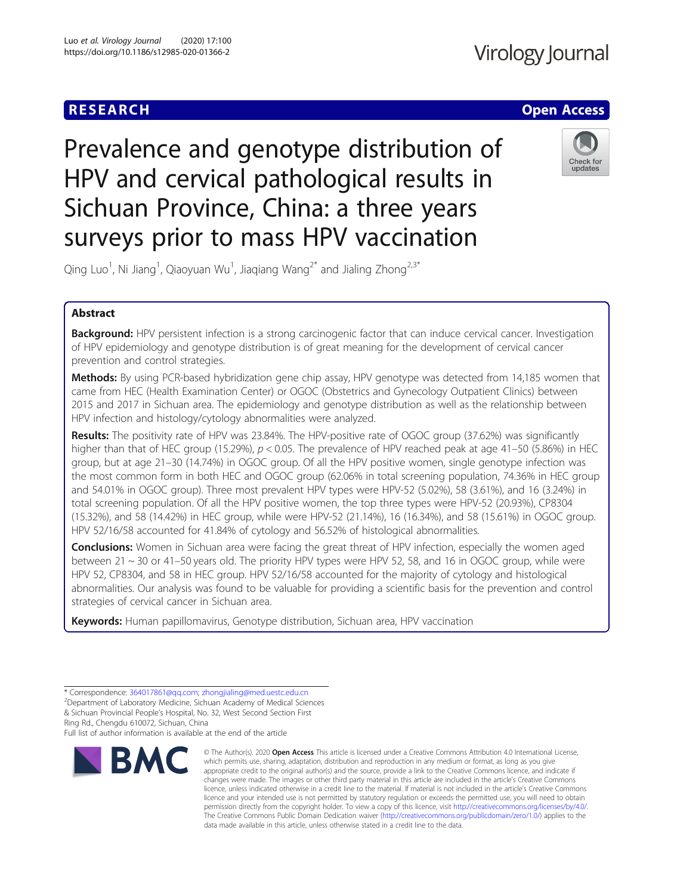



surveys prior to mass HPV vaccination Qing Luo $^1$ , Ni Jiang $^1$ , Qiaoyuan Wu $^1$ , Jiaqiang Wang $^{2^\ast}$  and Jialing Zhong $^{2,3^\ast}$ 

Prevalence and genotype distribution of

HPV and cervical pathological results in

Sichuan Province, China: a three years

Abstract

Background: HPV persistent infection is a strong carcinogenic factor that can induce cervical cancer. Investigation of HPV epidemiology and genotype distribution is of great meaning for the development of cervical cancer prevention and control strategies.

Methods: By using PCR-based hybridization gene chip assay, HPV genotype was detected from 14,185 women that came from HEC (Health Examination Center) or OGOC (Obstetrics and Gynecology Outpatient Clinics) between 2015 and 2017 in Sichuan area. The epidemiology and genotype distribution as well as the relationship between HPV infection and histology/cytology abnormalities were analyzed.

Results: The positivity rate of HPV was 23.84%. The HPV-positive rate of OGOC group (37.62%) was significantly higher than that of HEC group (15.29%),  $p < 0.05$ . The prevalence of HPV reached peak at age 41–50 (5.86%) in HEC group, but at age 21–30 (14.74%) in OGOC group. Of all the HPV positive women, single genotype infection was the most common form in both HEC and OGOC group (62.06% in total screening population, 74.36% in HEC group and 54.01% in OGOC group). Three most prevalent HPV types were HPV-52 (5.02%), 58 (3.61%), and 16 (3.24%) in total screening population. Of all the HPV positive women, the top three types were HPV-52 (20.93%), CP8304 (15.32%), and 58 (14.42%) in HEC group, while were HPV-52 (21.14%), 16 (16.34%), and 58 (15.61%) in OGOC group. HPV 52/16/58 accounted for 41.84% of cytology and 56.52% of histological abnormalities.

**Conclusions:** Women in Sichuan area were facing the great threat of HPV infection, especially the women aged between 21 ~ 30 or 41–50 years old. The priority HPV types were HPV 52, 58, and 16 in OGOC group, while were HPV 52, CP8304, and 58 in HEC group. HPV 52/16/58 accounted for the majority of cytology and histological abnormalities. Our analysis was found to be valuable for providing a scientific basis for the prevention and control strategies of cervical cancer in Sichuan area.

Keywords: Human papillomavirus, Genotype distribution, Sichuan area, HPV vaccination

Full list of author information is available at the end of the article



<sup>©</sup> The Author(s), 2020 **Open Access** This article is licensed under a Creative Commons Attribution 4.0 International License, which permits use, sharing, adaptation, distribution and reproduction in any medium or format, as long as you give appropriate credit to the original author(s) and the source, provide a link to the Creative Commons licence, and indicate if changes were made. The images or other third party material in this article are included in the article's Creative Commons licence, unless indicated otherwise in a credit line to the material. If material is not included in the article's Creative Commons licence and your intended use is not permitted by statutory regulation or exceeds the permitted use, you will need to obtain permission directly from the copyright holder. To view a copy of this licence, visit [http://creativecommons.org/licenses/by/4.0/.](http://creativecommons.org/licenses/by/4.0/) The Creative Commons Public Domain Dedication waiver [\(http://creativecommons.org/publicdomain/zero/1.0/](http://creativecommons.org/publicdomain/zero/1.0/)) applies to the data made available in this article, unless otherwise stated in a credit line to the data.

<sup>\*</sup> Correspondence: [364017861@qq.com](mailto:364017861@qq.com); [zhongjialing@med.uestc.edu.cn](mailto:zhongjialing@med.uestc.edu.cn) <sup>2</sup>

Department of Laboratory Medicine, Sichuan Academy of Medical Sciences & Sichuan Provincial People's Hospital, No. 32, West Second Section First Ring Rd., Chengdu 610072, Sichuan, China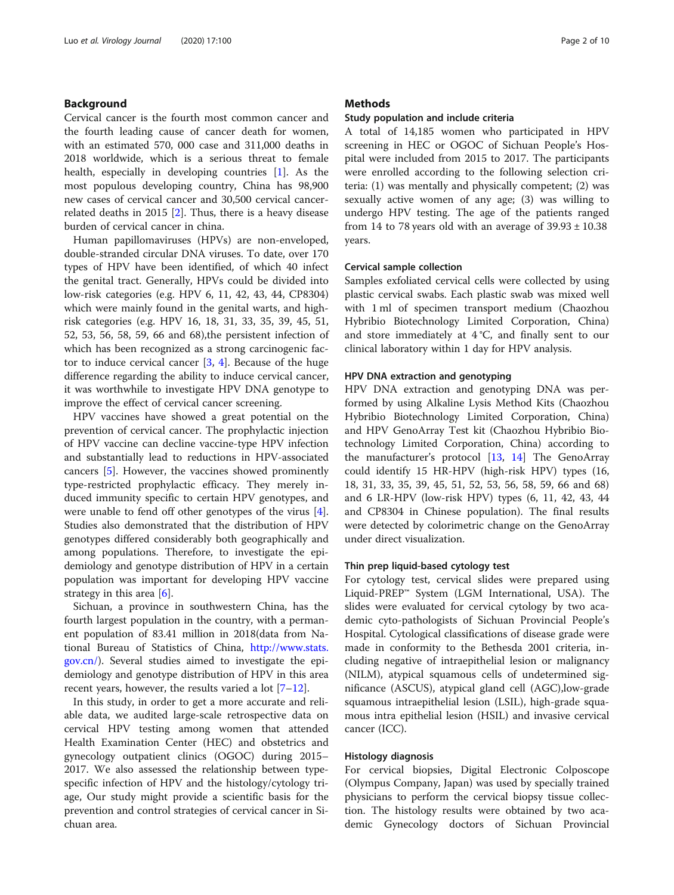# Background

Cervical cancer is the fourth most common cancer and the fourth leading cause of cancer death for women, with an estimated 570, 000 case and 311,000 deaths in 2018 worldwide, which is a serious threat to female health, especially in developing countries [[1\]](#page-8-0). As the most populous developing country, China has 98,900 new cases of cervical cancer and 30,500 cervical cancerrelated deaths in 2015 [[2](#page-8-0)]. Thus, there is a heavy disease burden of cervical cancer in china.

Human papillomaviruses (HPVs) are non-enveloped, double-stranded circular DNA viruses. To date, over 170 types of HPV have been identified, of which 40 infect the genital tract. Generally, HPVs could be divided into low-risk categories (e.g. HPV 6, 11, 42, 43, 44, CP8304) which were mainly found in the genital warts, and highrisk categories (e.g. HPV 16, 18, 31, 33, 35, 39, 45, 51, 52, 53, 56, 58, 59, 66 and 68),the persistent infection of which has been recognized as a strong carcinogenic factor to induce cervical cancer [[3](#page-8-0), [4](#page-8-0)]. Because of the huge difference regarding the ability to induce cervical cancer, it was worthwhile to investigate HPV DNA genotype to improve the effect of cervical cancer screening.

HPV vaccines have showed a great potential on the prevention of cervical cancer. The prophylactic injection of HPV vaccine can decline vaccine-type HPV infection and substantially lead to reductions in HPV-associated cancers [\[5](#page-8-0)]. However, the vaccines showed prominently type-restricted prophylactic efficacy. They merely induced immunity specific to certain HPV genotypes, and were unable to fend off other genotypes of the virus [\[4](#page-8-0)]. Studies also demonstrated that the distribution of HPV genotypes differed considerably both geographically and among populations. Therefore, to investigate the epidemiology and genotype distribution of HPV in a certain population was important for developing HPV vaccine strategy in this area  $[6]$  $[6]$ .

Sichuan, a province in southwestern China, has the fourth largest population in the country, with a permanent population of 83.41 million in 2018(data from National Bureau of Statistics of China, [http://www.stats.](http://www.stats.gov.cn/) [gov.cn/\)](http://www.stats.gov.cn/). Several studies aimed to investigate the epidemiology and genotype distribution of HPV in this area recent years, however, the results varied a lot [[7](#page-8-0)–[12](#page-9-0)].

In this study, in order to get a more accurate and reliable data, we audited large-scale retrospective data on cervical HPV testing among women that attended Health Examination Center (HEC) and obstetrics and gynecology outpatient clinics (OGOC) during 2015– 2017. We also assessed the relationship between typespecific infection of HPV and the histology/cytology triage, Our study might provide a scientific basis for the prevention and control strategies of cervical cancer in Sichuan area.

# **Methods**

#### Study population and include criteria

A total of 14,185 women who participated in HPV screening in HEC or OGOC of Sichuan People's Hospital were included from 2015 to 2017. The participants were enrolled according to the following selection criteria: (1) was mentally and physically competent; (2) was sexually active women of any age; (3) was willing to undergo HPV testing. The age of the patients ranged from 14 to 78 years old with an average of  $39.93 \pm 10.38$ years.

## Cervical sample collection

Samples exfoliated cervical cells were collected by using plastic cervical swabs. Each plastic swab was mixed well with 1 ml of specimen transport medium (Chaozhou Hybribio Biotechnology Limited Corporation, China) and store immediately at 4 °C, and finally sent to our clinical laboratory within 1 day for HPV analysis.

## HPV DNA extraction and genotyping

HPV DNA extraction and genotyping DNA was performed by using Alkaline Lysis Method Kits (Chaozhou Hybribio Biotechnology Limited Corporation, China) and HPV GenoArray Test kit (Chaozhou Hybribio Biotechnology Limited Corporation, China) according to the manufacturer's protocol [\[13,](#page-9-0) [14\]](#page-9-0) The GenoArray could identify 15 HR-HPV (high-risk HPV) types (16, 18, 31, 33, 35, 39, 45, 51, 52, 53, 56, 58, 59, 66 and 68) and 6 LR-HPV (low-risk HPV) types (6, 11, 42, 43, 44 and CP8304 in Chinese population). The final results were detected by colorimetric change on the GenoArray under direct visualization.

## Thin prep liquid-based cytology test

For cytology test, cervical slides were prepared using Liquid-PREP™ System (LGM International, USA). The slides were evaluated for cervical cytology by two academic cyto-pathologists of Sichuan Provincial People's Hospital. Cytological classifications of disease grade were made in conformity to the Bethesda 2001 criteria, including negative of intraepithelial lesion or malignancy (NILM), atypical squamous cells of undetermined significance (ASCUS), atypical gland cell (AGC),low-grade squamous intraepithelial lesion (LSIL), high-grade squamous intra epithelial lesion (HSIL) and invasive cervical cancer (ICC).

## Histology diagnosis

For cervical biopsies, Digital Electronic Colposcope (Olympus Company, Japan) was used by specially trained physicians to perform the cervical biopsy tissue collection. The histology results were obtained by two academic Gynecology doctors of Sichuan Provincial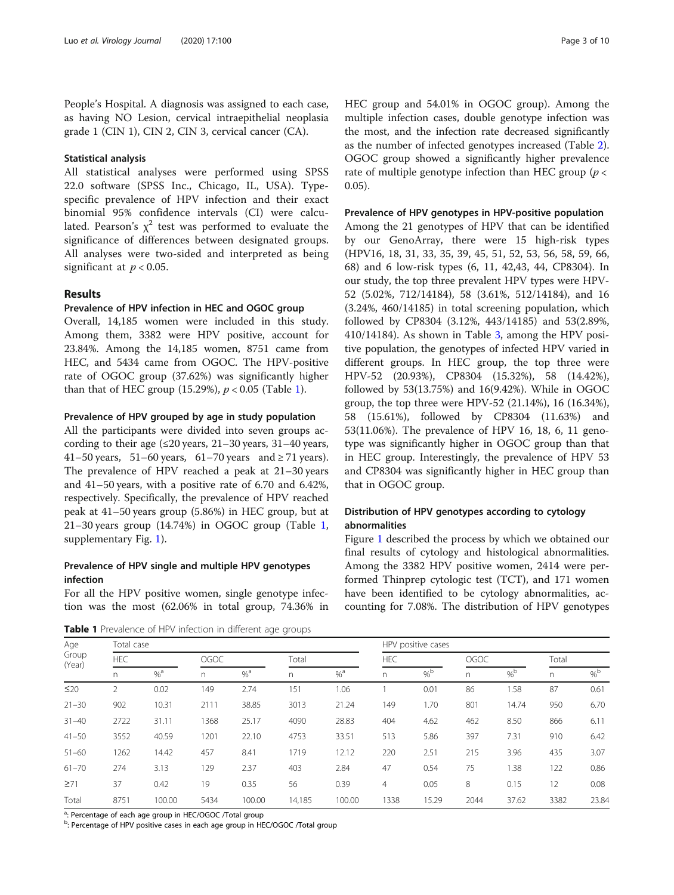People's Hospital. A diagnosis was assigned to each case, as having NO Lesion, cervical intraepithelial neoplasia grade 1 (CIN 1), CIN 2, CIN 3, cervical cancer (CA).

# Statistical analysis

All statistical analyses were performed using SPSS 22.0 software (SPSS Inc., Chicago, IL, USA). Typespecific prevalence of HPV infection and their exact binomial 95% confidence intervals (CI) were calculated. Pearson's  $\chi^2$  test was performed to evaluate the significance of differences between designated groups. All analyses were two-sided and interpreted as being significant at  $p < 0.05$ .

## Results

# Prevalence of HPV infection in HEC and OGOC group

Overall, 14,185 women were included in this study. Among them, 3382 were HPV positive, account for 23.84%. Among the 14,185 women, 8751 came from HEC, and 5434 came from OGOC. The HPV-positive rate of OGOC group (37.62%) was significantly higher than that of HEC group (15.29%),  $p < 0.05$  (Table 1).

## Prevalence of HPV grouped by age in study population

All the participants were divided into seven groups according to their age  $(\leq 20 \text{ years}, 21-30 \text{ years}, 31-40 \text{ years},$ 41–50 years, 51–60 years, 61–70 years and  $\geq$  71 years). The prevalence of HPV reached a peak at 21–30 years and 41–50 years, with a positive rate of 6.70 and 6.42%, respectively. Specifically, the prevalence of HPV reached peak at 41–50 years group (5.86%) in HEC group, but at 21–30 years group (14.74%) in OGOC group (Table 1, supplementary Fig. [1](#page-8-0)).

# Prevalence of HPV single and multiple HPV genotypes infection

For all the HPV positive women, single genotype infection was the most (62.06% in total group, 74.36% in

Table 1 Prevalence of HPV infection in different age groups

HEC group and 54.01% in OGOC group). Among the multiple infection cases, double genotype infection was the most, and the infection rate decreased significantly as the number of infected genotypes increased (Table [2](#page-3-0)). OGOC group showed a significantly higher prevalence rate of multiple genotype infection than HEC group ( $p <$ 0.05).

## Prevalence of HPV genotypes in HPV-positive population

Among the 21 genotypes of HPV that can be identified by our GenoArray, there were 15 high-risk types (HPV16, 18, 31, 33, 35, 39, 45, 51, 52, 53, 56, 58, 59, 66, 68) and 6 low-risk types (6, 11, 42,43, 44, CP8304). In our study, the top three prevalent HPV types were HPV-52 (5.02%, 712/14184), 58 (3.61%, 512/14184), and 16 (3.24%, 460/14185) in total screening population, which followed by CP8304 (3.12%, 443/14185) and 53(2.89%, 410/14184). As shown in Table [3](#page-4-0), among the HPV positive population, the genotypes of infected HPV varied in different groups. In HEC group, the top three were HPV-52 (20.93%), CP8304 (15.32%), 58 (14.42%), followed by 53(13.75%) and 16(9.42%). While in OGOC group, the top three were HPV-52 (21.14%), 16 (16.34%), 58 (15.61%), followed by CP8304 (11.63%) and 53(11.06%). The prevalence of HPV 16, 18, 6, 11 genotype was significantly higher in OGOC group than that in HEC group. Interestingly, the prevalence of HPV 53 and CP8304 was significantly higher in HEC group than that in OGOC group.

# Distribution of HPV genotypes according to cytology abnormalities

Figure [1](#page-5-0) described the process by which we obtained our final results of cytology and histological abnormalities. Among the 3382 HPV positive women, 2414 were performed Thinprep cytologic test (TCT), and 171 women have been identified to be cytology abnormalities, accounting for 7.08%. The distribution of HPV genotypes

| Age             | Total case |        |      |        |        |        |                | HPV positive cases |      |                 |       |                 |
|-----------------|------------|--------|------|--------|--------|--------|----------------|--------------------|------|-----------------|-------|-----------------|
| Group<br>(Year) | <b>HEC</b> |        | OGOC |        | Total  |        | <b>HEC</b>     |                    | OGOC |                 | Total |                 |
|                 | n.         | $%^a$  | n.   | $%^a$  | n      | $%^a$  | n.             | $%^{\text{b}}$     | n    | $\%^{\text{b}}$ | n     | $\%^{\text{b}}$ |
| $\leq$ 20       | 2          | 0.02   | 149  | 2.74   | 151    | 1.06   |                | 0.01               | 86   | 1.58            | 87    | 0.61            |
| $21 - 30$       | 902        | 10.31  | 2111 | 38.85  | 3013   | 21.24  | 149            | 1.70               | 801  | 14.74           | 950   | 6.70            |
| $31 - 40$       | 2722       | 31.11  | 1368 | 25.17  | 4090   | 28.83  | 404            | 4.62               | 462  | 8.50            | 866   | 6.11            |
| $41 - 50$       | 3552       | 40.59  | 1201 | 22.10  | 4753   | 33.51  | 513            | 5.86               | 397  | 7.31            | 910   | 6.42            |
| $51 - 60$       | 1262       | 14.42  | 457  | 8.41   | 1719   | 12.12  | 220            | 2.51               | 215  | 3.96            | 435   | 3.07            |
| $61 - 70$       | 274        | 3.13   | 129  | 2.37   | 403    | 2.84   | 47             | 0.54               | 75   | 1.38            | 122   | 0.86            |
| $\geq 71$       | 37         | 0.42   | 19   | 0.35   | 56     | 0.39   | $\overline{4}$ | 0.05               | 8    | 0.15            | 12    | 0.08            |
| Total           | 8751       | 100.00 | 5434 | 100.00 | 14,185 | 100.00 | 1338           | 15.29              | 2044 | 37.62           | 3382  | 23.84           |

<sup>a</sup>: Percentage of each age group in HEC/OGOC /Total group

<sup>b</sup>: Percentage of HPV positive cases in each age group in HEC/OGOC /Total group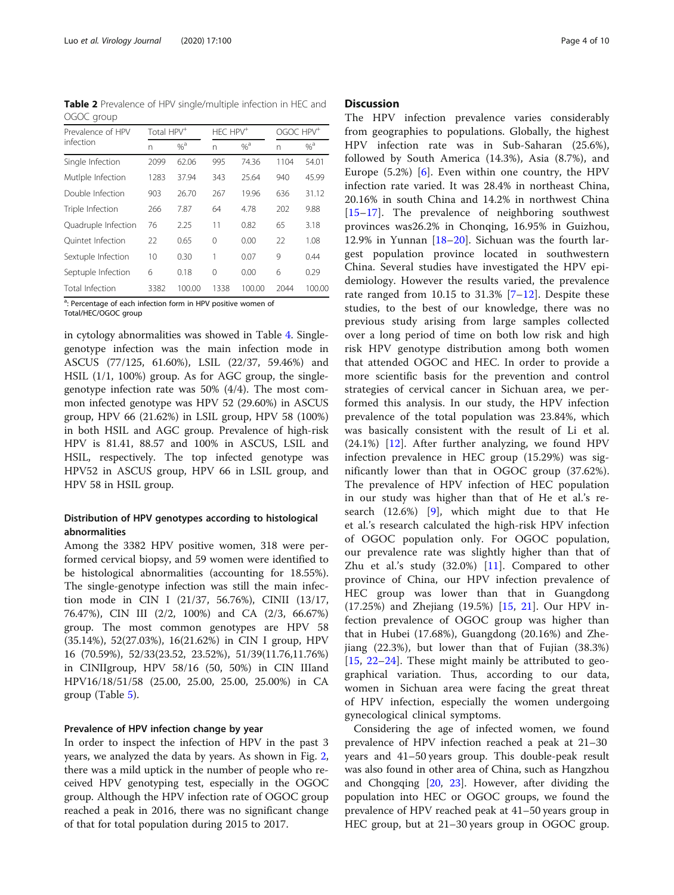<span id="page-3-0"></span>Table 2 Prevalence of HPV single/multiple infection in HEC and OGOC group

| Prevalence of HPV   | Total HPV <sup>+</sup> |        | $HFC HPV$ <sup>+</sup> |        |      | OGOC HPV <sup>+</sup> |  |  |
|---------------------|------------------------|--------|------------------------|--------|------|-----------------------|--|--|
| infection           | n                      | $%^a$  | n                      | $%^a$  | n    | $%^a$                 |  |  |
| Single Infection    | 2099                   | 62.06  | 995                    | 74.36  | 1104 | 54.01                 |  |  |
| Mutiple Infection   | 1283                   | 37.94  | 343                    | 25.64  | 940  | 45.99                 |  |  |
| Double Infection    | 903                    | 26.70  | 267                    | 19.96  | 636  | 31.12                 |  |  |
| Triple Infection    | 266                    | 7.87   | 64                     | 4.78   | 202  | 9.88                  |  |  |
| Quadruple Infection | 76                     | 2.25   | 11                     | 0.82   | 65   | 3.18                  |  |  |
| Ouintet Infection   | 22                     | 0.65   | 0                      | 0.00   | 22   | 1.08                  |  |  |
| Sextuple Infection  | 10                     | 0.30   | 1                      | 0.07   | 9    | 0.44                  |  |  |
| Septuple Infection  | 6                      | 0.18   | $\Omega$               | 0.00   | 6    | 0.29                  |  |  |
| Total Infection     | 3382                   | 100.00 | 1338                   | 100.00 | 2044 | 100.00                |  |  |

<sup>a</sup>: Percentage of each infection form in HPV positive women of Total/HEC/OGOC group

in cytology abnormalities was showed in Table [4](#page-6-0). Singlegenotype infection was the main infection mode in ASCUS (77/125, 61.60%), LSIL (22/37, 59.46%) and HSIL (1/1, 100%) group. As for AGC group, the singlegenotype infection rate was 50% (4/4). The most common infected genotype was HPV 52 (29.60%) in ASCUS group, HPV 66 (21.62%) in LSIL group, HPV 58 (100%) in both HSIL and AGC group. Prevalence of high-risk HPV is 81.41, 88.57 and 100% in ASCUS, LSIL and HSIL, respectively. The top infected genotype was HPV52 in ASCUS group, HPV 66 in LSIL group, and HPV 58 in HSIL group.

# Distribution of HPV genotypes according to histological abnormalities

Among the 3382 HPV positive women, 318 were performed cervical biopsy, and 59 women were identified to be histological abnormalities (accounting for 18.55%). The single-genotype infection was still the main infection mode in CIN I (21/37, 56.76%), CINII (13/17, 76.47%), CIN III (2/2, 100%) and CA (2/3, 66.67%) group. The most common genotypes are HPV 58 (35.14%), 52(27.03%), 16(21.62%) in CIN I group, HPV 16 (70.59%), 52/33(23.52, 23.52%), 51/39(11.76,11.76%) in CINIIgroup, HPV 58/16 (50, 50%) in CIN IIIand HPV16/18/51/58 (25.00, 25.00, 25.00, 25.00%) in CA group (Table [5\)](#page-7-0).

## Prevalence of HPV infection change by year

In order to inspect the infection of HPV in the past 3 years, we analyzed the data by years. As shown in Fig. [2](#page-7-0), there was a mild uptick in the number of people who received HPV genotyping test, especially in the OGOC group. Although the HPV infection rate of OGOC group reached a peak in 2016, there was no significant change of that for total population during 2015 to 2017.

# **Discussion**

The HPV infection prevalence varies considerably from geographies to populations. Globally, the highest HPV infection rate was in Sub-Saharan (25.6%), followed by South America (14.3%), Asia (8.7%), and Europe  $(5.2\%)$  [\[6](#page-8-0)]. Even within one country, the HPV infection rate varied. It was 28.4% in northeast China, 20.16% in south China and 14.2% in northwest China [[15](#page-9-0)–[17\]](#page-9-0). The prevalence of neighboring southwest provinces was26.2% in Chonqing, 16.95% in Guizhou, 12.9% in Yunnan [[18](#page-9-0)–[20](#page-9-0)]. Sichuan was the fourth largest population province located in southwestern China. Several studies have investigated the HPV epidemiology. However the results varied, the prevalence rate ranged from 10.15 to  $31.3\%$  [\[7](#page-8-0)-[12](#page-9-0)]. Despite these studies, to the best of our knowledge, there was no previous study arising from large samples collected over a long period of time on both low risk and high risk HPV genotype distribution among both women that attended OGOC and HEC. In order to provide a more scientific basis for the prevention and control strategies of cervical cancer in Sichuan area, we performed this analysis. In our study, the HPV infection prevalence of the total population was 23.84%, which was basically consistent with the result of Li et al.  $(24.1\%)$  [[12\]](#page-9-0). After further analyzing, we found HPV infection prevalence in HEC group (15.29%) was significantly lower than that in OGOC group (37.62%). The prevalence of HPV infection of HEC population in our study was higher than that of He et al.'s research (12.6%) [[9\]](#page-9-0), which might due to that He et al.'s research calculated the high-risk HPV infection of OGOC population only. For OGOC population, our prevalence rate was slightly higher than that of Zhu et al.'s study  $(32.0\%)$  [[11](#page-9-0)]. Compared to other province of China, our HPV infection prevalence of HEC group was lower than that in Guangdong (17.25%) and Zhejiang (19.5%) [[15,](#page-9-0) [21\]](#page-9-0). Our HPV infection prevalence of OGOC group was higher than that in Hubei (17.68%), Guangdong (20.16%) and Zhejiang (22.3%), but lower than that of Fujian (38.3%) [[15,](#page-9-0)  $22-24$  $22-24$  $22-24$ ]. These might mainly be attributed to geographical variation. Thus, according to our data, women in Sichuan area were facing the great threat of HPV infection, especially the women undergoing gynecological clinical symptoms.

Considering the age of infected women, we found prevalence of HPV infection reached a peak at 21–30 years and 41–50 years group. This double-peak result was also found in other area of China, such as Hangzhou and Chongqing [[20](#page-9-0), [23](#page-9-0)]. However, after dividing the population into HEC or OGOC groups, we found the prevalence of HPV reached peak at 41–50 years group in HEC group, but at 21–30 years group in OGOC group.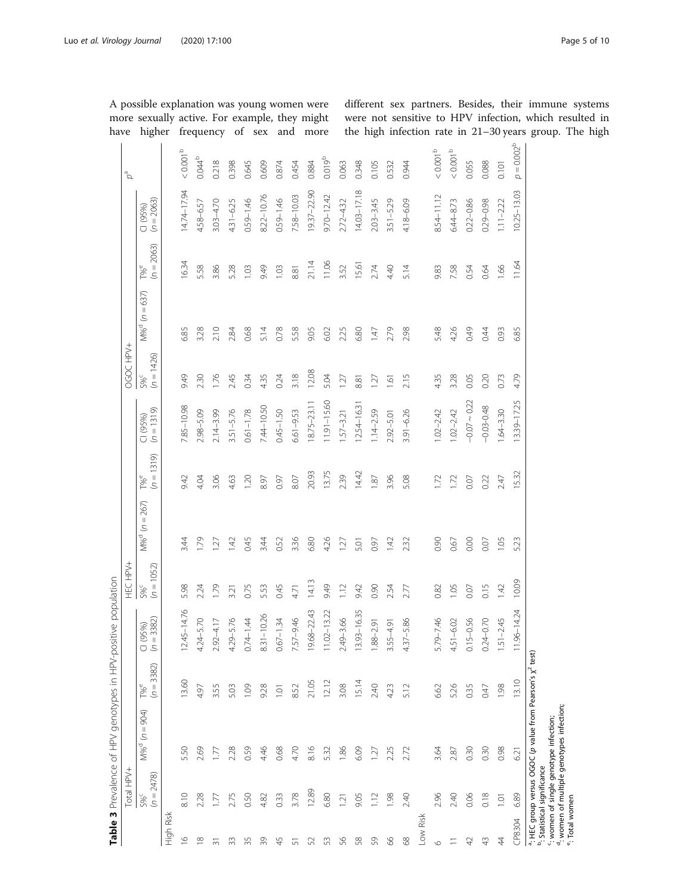| $p = 0.002^{b}$<br>$< 0.001$ $^{\rm b}$<br>$<0.001$ $^{\rm b}$<br>$< 0.001^{\rm b}$<br>0.044 <sup>b</sup><br>0.019 <sup>b</sup><br>0.218<br>0.088<br>0.055<br>0.398<br>0.645<br>0.609<br>0.348<br>0.874<br>0.063<br>0.105<br>0.532<br>0.944<br>0.884<br>0.454<br>0.101<br>14.03-17.18<br>10.25-13.03<br>14.74–17.94<br>19.37-22.90<br>8.22-10.76<br>7.58-10.03<br>$9.70 - 12.42$<br>8.54-11.12<br>$0.59 - 1.46$<br>$0.59 - 1.46$<br>$(1 (95%)$<br>$(n = 2063)$<br>$4.31 - 6.25$<br>$3.51 - 5.29$<br>$0.29 - 0.98$<br>$3.03 - 4.70$<br>$2.72 - 4.32$<br>$2.03 - 3.45$<br>$4.18 - 6.09$<br>$0.22 - 0.86$<br>$6.44 - 8.73$<br>$1.11 - 2.22$<br>4.58-6.57<br>$(n = 2063)$<br>16.34<br>21.14<br>11.06<br>11.64<br>15.61<br>5.58<br>$T\%$ <sup>e</sup><br>3.86<br>5.28<br>9.49<br>1.03<br>3.52<br>2.74<br>4.40<br>5.14<br>7.58<br>1.66<br>103<br>9.83<br>0.64<br>8.81<br>0.54<br>$M%^{d} (n = 637)$<br>6.85<br>6.85<br>3.28<br>2.10<br>5.14<br>0.78<br>5.58<br>9.05<br>5.48<br>4.26<br>0.49<br>2.84<br>0.68<br>225<br>6.80<br>2.79<br>2.98<br>0.44<br>6.02<br>0.93<br>147<br>$\frac{5\%^{c}}{(n=1426)}$<br>12.08<br>3.18<br>9.49<br>2.30<br>1.76<br>245<br>4.35<br>0.24<br>4.35<br>3.28<br>0.05<br>0.20<br>4.79<br>0.34<br>5.04<br>2.15<br>0.73<br>127<br>127<br>8.81<br>$\overline{1.61}$<br>$-0.07 - 0.22$<br>3.39-17.25<br>11.91-15.60<br>18.75-23.11<br>$12.54 - 16.3$<br>7.85-10.98<br>7.44-10.50<br>$-0.03 - 0.48$<br>$(1 (95%)(n = 1319)$<br>$2.14 - 3.99$<br>$0.61 - 1.78$<br>$0.45 - 1.50$<br>$3.91 - 6.26$<br>$.02 - 2.42$<br>$3.51 - 5.76$<br>$6.61 - 9.53$<br>$1.14 - 2.59$<br>$.02 - 2.42$<br>$64 - 3.30$<br>$2.98 - 5.09$<br>$.57 - 3.21$<br>$2.92 - 5.01$<br>1319)<br>13.75<br>14.42<br>15.32<br>20.93<br>$\overline{\overline{S}}$<br>$T\%$ <sup>e</sup><br>2.39<br>3.96<br>5.08<br>9.42<br>3.06<br>4.63<br>1.20<br>0.97<br>8.07<br>1.72<br>0.22<br>4.04<br>8.97<br>1.87<br>1.72<br>2.47<br>0.07<br>$M\%^{d}$ (n = 267)<br>1.79<br>3.36<br>6.80<br>4.26<br>5.23<br>0.45<br>3.44<br>0.52<br>0.90<br>0.67<br>0.00<br>1.05<br>3.44<br>142<br>142<br>0.07<br>$\overline{127}$<br>0.97<br>232<br>127<br>5.01 | Total HPV+                                                                                                                                                   |  | HEC HPV+ |  | OGOC HPV+ |  | $\varphi^{\mathrm{e}}$ |
|-------------------------------------------------------------------------------------------------------------------------------------------------------------------------------------------------------------------------------------------------------------------------------------------------------------------------------------------------------------------------------------------------------------------------------------------------------------------------------------------------------------------------------------------------------------------------------------------------------------------------------------------------------------------------------------------------------------------------------------------------------------------------------------------------------------------------------------------------------------------------------------------------------------------------------------------------------------------------------------------------------------------------------------------------------------------------------------------------------------------------------------------------------------------------------------------------------------------------------------------------------------------------------------------------------------------------------------------------------------------------------------------------------------------------------------------------------------------------------------------------------------------------------------------------------------------------------------------------------------------------------------------------------------------------------------------------------------------------------------------------------------------------------------------------------------------------------------------------------------------------------------------------------------------------------------------------------------------------------------------------------------------------------------------------------------------------------------------------------------------|--------------------------------------------------------------------------------------------------------------------------------------------------------------|--|----------|--|-----------|--|------------------------|
|                                                                                                                                                                                                                                                                                                                                                                                                                                                                                                                                                                                                                                                                                                                                                                                                                                                                                                                                                                                                                                                                                                                                                                                                                                                                                                                                                                                                                                                                                                                                                                                                                                                                                                                                                                                                                                                                                                                                                                                                                                                                                                                   | $(n = 1052)$<br><b>S%<sup>c</sup></b><br>$= 3382$<br>(95%)<br>U S<br>3382)<br>$(n = 1)$<br>$T\%^e$<br>$= 904$<br>$\overline{\mathcal{C}}$<br>M% <sup>d</sup> |  |          |  |           |  |                        |
|                                                                                                                                                                                                                                                                                                                                                                                                                                                                                                                                                                                                                                                                                                                                                                                                                                                                                                                                                                                                                                                                                                                                                                                                                                                                                                                                                                                                                                                                                                                                                                                                                                                                                                                                                                                                                                                                                                                                                                                                                                                                                                                   |                                                                                                                                                              |  |          |  |           |  |                        |
|                                                                                                                                                                                                                                                                                                                                                                                                                                                                                                                                                                                                                                                                                                                                                                                                                                                                                                                                                                                                                                                                                                                                                                                                                                                                                                                                                                                                                                                                                                                                                                                                                                                                                                                                                                                                                                                                                                                                                                                                                                                                                                                   | 5.98<br>4.76<br>$12.45 - 1$<br>13.60<br>5.50                                                                                                                 |  |          |  |           |  |                        |
|                                                                                                                                                                                                                                                                                                                                                                                                                                                                                                                                                                                                                                                                                                                                                                                                                                                                                                                                                                                                                                                                                                                                                                                                                                                                                                                                                                                                                                                                                                                                                                                                                                                                                                                                                                                                                                                                                                                                                                                                                                                                                                                   | 2.24<br>$\overline{C}$<br>$4.24 - 5.7$<br>4.97<br>2.69                                                                                                       |  |          |  |           |  |                        |
|                                                                                                                                                                                                                                                                                                                                                                                                                                                                                                                                                                                                                                                                                                                                                                                                                                                                                                                                                                                                                                                                                                                                                                                                                                                                                                                                                                                                                                                                                                                                                                                                                                                                                                                                                                                                                                                                                                                                                                                                                                                                                                                   | 1.79<br>$\overline{\phantom{a}}$<br>$2.92 - 4.1$<br>3.55<br>ΕĪ                                                                                               |  |          |  |           |  |                        |
|                                                                                                                                                                                                                                                                                                                                                                                                                                                                                                                                                                                                                                                                                                                                                                                                                                                                                                                                                                                                                                                                                                                                                                                                                                                                                                                                                                                                                                                                                                                                                                                                                                                                                                                                                                                                                                                                                                                                                                                                                                                                                                                   | 3.21<br>4.29-5.76<br>5.03<br>2.28                                                                                                                            |  |          |  |           |  |                        |
|                                                                                                                                                                                                                                                                                                                                                                                                                                                                                                                                                                                                                                                                                                                                                                                                                                                                                                                                                                                                                                                                                                                                                                                                                                                                                                                                                                                                                                                                                                                                                                                                                                                                                                                                                                                                                                                                                                                                                                                                                                                                                                                   | 0.75<br>$0.74 - 1.44$<br>1.09<br>0.59                                                                                                                        |  |          |  |           |  |                        |
|                                                                                                                                                                                                                                                                                                                                                                                                                                                                                                                                                                                                                                                                                                                                                                                                                                                                                                                                                                                                                                                                                                                                                                                                                                                                                                                                                                                                                                                                                                                                                                                                                                                                                                                                                                                                                                                                                                                                                                                                                                                                                                                   | 5.53<br>$8.31 - 10.26$<br>9.28<br>4.46                                                                                                                       |  |          |  |           |  |                        |
|                                                                                                                                                                                                                                                                                                                                                                                                                                                                                                                                                                                                                                                                                                                                                                                                                                                                                                                                                                                                                                                                                                                                                                                                                                                                                                                                                                                                                                                                                                                                                                                                                                                                                                                                                                                                                                                                                                                                                                                                                                                                                                                   | 0.45<br>$0.67 - 1.34$<br>1.01<br>0.68                                                                                                                        |  |          |  |           |  |                        |
|                                                                                                                                                                                                                                                                                                                                                                                                                                                                                                                                                                                                                                                                                                                                                                                                                                                                                                                                                                                                                                                                                                                                                                                                                                                                                                                                                                                                                                                                                                                                                                                                                                                                                                                                                                                                                                                                                                                                                                                                                                                                                                                   | 4.71<br>$\overline{Q}$<br>7.57-9.4<br>8.52<br>4.70                                                                                                           |  |          |  |           |  |                        |
|                                                                                                                                                                                                                                                                                                                                                                                                                                                                                                                                                                                                                                                                                                                                                                                                                                                                                                                                                                                                                                                                                                                                                                                                                                                                                                                                                                                                                                                                                                                                                                                                                                                                                                                                                                                                                                                                                                                                                                                                                                                                                                                   | 14.13<br>19.68-22.43<br>21.05<br>8.16                                                                                                                        |  |          |  |           |  |                        |
|                                                                                                                                                                                                                                                                                                                                                                                                                                                                                                                                                                                                                                                                                                                                                                                                                                                                                                                                                                                                                                                                                                                                                                                                                                                                                                                                                                                                                                                                                                                                                                                                                                                                                                                                                                                                                                                                                                                                                                                                                                                                                                                   | 9.49<br>3.22<br>$11.02 - 1$<br>12.12<br>5.32                                                                                                                 |  |          |  |           |  |                        |
|                                                                                                                                                                                                                                                                                                                                                                                                                                                                                                                                                                                                                                                                                                                                                                                                                                                                                                                                                                                                                                                                                                                                                                                                                                                                                                                                                                                                                                                                                                                                                                                                                                                                                                                                                                                                                                                                                                                                                                                                                                                                                                                   | $\frac{12}{1}$<br>2.49-3.66<br>3.08<br>1.86                                                                                                                  |  |          |  |           |  |                        |
|                                                                                                                                                                                                                                                                                                                                                                                                                                                                                                                                                                                                                                                                                                                                                                                                                                                                                                                                                                                                                                                                                                                                                                                                                                                                                                                                                                                                                                                                                                                                                                                                                                                                                                                                                                                                                                                                                                                                                                                                                                                                                                                   | 9.42<br>6.35<br>$13.93 - 1$<br>15.14<br>6.09                                                                                                                 |  |          |  |           |  |                        |
|                                                                                                                                                                                                                                                                                                                                                                                                                                                                                                                                                                                                                                                                                                                                                                                                                                                                                                                                                                                                                                                                                                                                                                                                                                                                                                                                                                                                                                                                                                                                                                                                                                                                                                                                                                                                                                                                                                                                                                                                                                                                                                                   | 0.90<br>$1.88 - 2.91$<br>3.55-4.91<br>2.40<br>$\overline{27}$                                                                                                |  |          |  |           |  |                        |
|                                                                                                                                                                                                                                                                                                                                                                                                                                                                                                                                                                                                                                                                                                                                                                                                                                                                                                                                                                                                                                                                                                                                                                                                                                                                                                                                                                                                                                                                                                                                                                                                                                                                                                                                                                                                                                                                                                                                                                                                                                                                                                                   | 2.54<br>4.23<br>2.25                                                                                                                                         |  |          |  |           |  |                        |
|                                                                                                                                                                                                                                                                                                                                                                                                                                                                                                                                                                                                                                                                                                                                                                                                                                                                                                                                                                                                                                                                                                                                                                                                                                                                                                                                                                                                                                                                                                                                                                                                                                                                                                                                                                                                                                                                                                                                                                                                                                                                                                                   | 2.77<br>$4.37 - 5.86$<br>5.12<br>2.72                                                                                                                        |  |          |  |           |  |                        |
|                                                                                                                                                                                                                                                                                                                                                                                                                                                                                                                                                                                                                                                                                                                                                                                                                                                                                                                                                                                                                                                                                                                                                                                                                                                                                                                                                                                                                                                                                                                                                                                                                                                                                                                                                                                                                                                                                                                                                                                                                                                                                                                   | 0.82<br>$\dot{\circ}$<br>$5.79 - 7.4$<br>6.62<br>3.64                                                                                                        |  |          |  |           |  |                        |
|                                                                                                                                                                                                                                                                                                                                                                                                                                                                                                                                                                                                                                                                                                                                                                                                                                                                                                                                                                                                                                                                                                                                                                                                                                                                                                                                                                                                                                                                                                                                                                                                                                                                                                                                                                                                                                                                                                                                                                                                                                                                                                                   | 105<br>$4.51 - 6.02$<br>5.26<br>2.87                                                                                                                         |  |          |  |           |  |                        |
|                                                                                                                                                                                                                                                                                                                                                                                                                                                                                                                                                                                                                                                                                                                                                                                                                                                                                                                                                                                                                                                                                                                                                                                                                                                                                                                                                                                                                                                                                                                                                                                                                                                                                                                                                                                                                                                                                                                                                                                                                                                                                                                   | 0.07<br>$0.15 - 0.56$<br>0.35<br>0.30                                                                                                                        |  |          |  |           |  |                        |
|                                                                                                                                                                                                                                                                                                                                                                                                                                                                                                                                                                                                                                                                                                                                                                                                                                                                                                                                                                                                                                                                                                                                                                                                                                                                                                                                                                                                                                                                                                                                                                                                                                                                                                                                                                                                                                                                                                                                                                                                                                                                                                                   | 0.15<br>$0.24 - 0.70$<br>0.47<br>0.30                                                                                                                        |  |          |  |           |  |                        |
|                                                                                                                                                                                                                                                                                                                                                                                                                                                                                                                                                                                                                                                                                                                                                                                                                                                                                                                                                                                                                                                                                                                                                                                                                                                                                                                                                                                                                                                                                                                                                                                                                                                                                                                                                                                                                                                                                                                                                                                                                                                                                                                   | 1.42<br>rÙ<br>$1.51 - 2.4$<br>1.98<br>0.98                                                                                                                   |  |          |  |           |  |                        |
|                                                                                                                                                                                                                                                                                                                                                                                                                                                                                                                                                                                                                                                                                                                                                                                                                                                                                                                                                                                                                                                                                                                                                                                                                                                                                                                                                                                                                                                                                                                                                                                                                                                                                                                                                                                                                                                                                                                                                                                                                                                                                                                   | 10.09<br>4.24<br>$11.96 - 1$<br>13.10<br>6.21                                                                                                                |  |          |  |           |  |                        |

<span id="page-4-0"></span>A possible explanation was young women were more sexually active. For example, they might different sex partners. Besides, their immune systems were not sensitive to HPV infection, which resulted in up. The high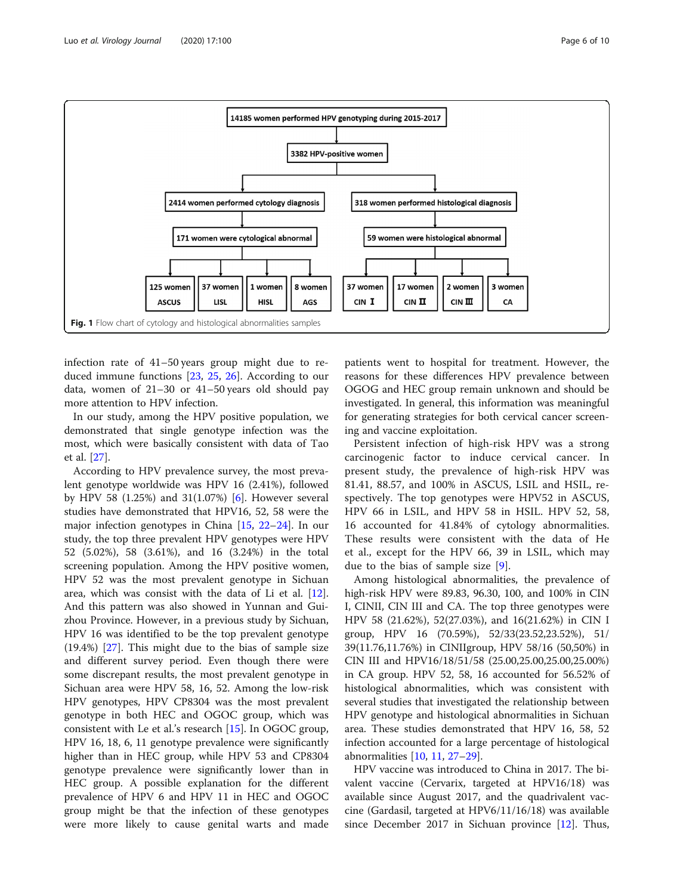<span id="page-5-0"></span>

infection rate of 41–50 years group might due to reduced immune functions [[23,](#page-9-0) [25](#page-9-0), [26](#page-9-0)]. According to our data, women of 21–30 or 41–50 years old should pay more attention to HPV infection.

In our study, among the HPV positive population, we demonstrated that single genotype infection was the most, which were basically consistent with data of Tao et al. [\[27](#page-9-0)].

According to HPV prevalence survey, the most prevalent genotype worldwide was HPV 16 (2.41%), followed by HPV 58 (1.25%) and 31(1.07%) [\[6\]](#page-8-0). However several studies have demonstrated that HPV16, 52, 58 were the major infection genotypes in China [[15,](#page-9-0) [22](#page-9-0)–[24](#page-9-0)]. In our study, the top three prevalent HPV genotypes were HPV 52 (5.02%), 58 (3.61%), and 16 (3.24%) in the total screening population. Among the HPV positive women, HPV 52 was the most prevalent genotype in Sichuan area, which was consist with the data of Li et al. [\[12](#page-9-0)]. And this pattern was also showed in Yunnan and Guizhou Province. However, in a previous study by Sichuan, HPV 16 was identified to be the top prevalent genotype (19.4%) [[27\]](#page-9-0). This might due to the bias of sample size and different survey period. Even though there were some discrepant results, the most prevalent genotype in Sichuan area were HPV 58, 16, 52. Among the low-risk HPV genotypes, HPV CP8304 was the most prevalent genotype in both HEC and OGOC group, which was consistent with Le et al.'s research [[15](#page-9-0)]. In OGOC group, HPV 16, 18, 6, 11 genotype prevalence were significantly higher than in HEC group, while HPV 53 and CP8304 genotype prevalence were significantly lower than in HEC group. A possible explanation for the different prevalence of HPV 6 and HPV 11 in HEC and OGOC group might be that the infection of these genotypes were more likely to cause genital warts and made

patients went to hospital for treatment. However, the reasons for these differences HPV prevalence between OGOG and HEC group remain unknown and should be investigated. In general, this information was meaningful for generating strategies for both cervical cancer screening and vaccine exploitation.

Persistent infection of high-risk HPV was a strong carcinogenic factor to induce cervical cancer. In present study, the prevalence of high-risk HPV was 81.41, 88.57, and 100% in ASCUS, LSIL and HSIL, respectively. The top genotypes were HPV52 in ASCUS, HPV 66 in LSIL, and HPV 58 in HSIL. HPV 52, 58, 16 accounted for 41.84% of cytology abnormalities. These results were consistent with the data of He et al., except for the HPV 66, 39 in LSIL, which may due to the bias of sample size [\[9](#page-9-0)].

Among histological abnormalities, the prevalence of high-risk HPV were 89.83, 96.30, 100, and 100% in CIN I, CINII, CIN III and CA. The top three genotypes were HPV 58 (21.62%), 52(27.03%), and 16(21.62%) in CIN I group, HPV 16 (70.59%), 52/33(23.52,23.52%), 51/ 39(11.76,11.76%) in CINIIgroup, HPV 58/16 (50,50%) in CIN III and HPV16/18/51/58 (25.00,25.00,25.00,25.00%) in CA group. HPV 52, 58, 16 accounted for 56.52% of histological abnormalities, which was consistent with several studies that investigated the relationship between HPV genotype and histological abnormalities in Sichuan area. These studies demonstrated that HPV 16, 58, 52 infection accounted for a large percentage of histological abnormalities [\[10,](#page-9-0) [11,](#page-9-0) [27](#page-9-0)–[29\]](#page-9-0).

HPV vaccine was introduced to China in 2017. The bivalent vaccine (Cervarix, targeted at HPV16/18) was available since August 2017, and the quadrivalent vaccine (Gardasil, targeted at HPV6/11/16/18) was available since December 2017 in Sichuan province [\[12](#page-9-0)]. Thus,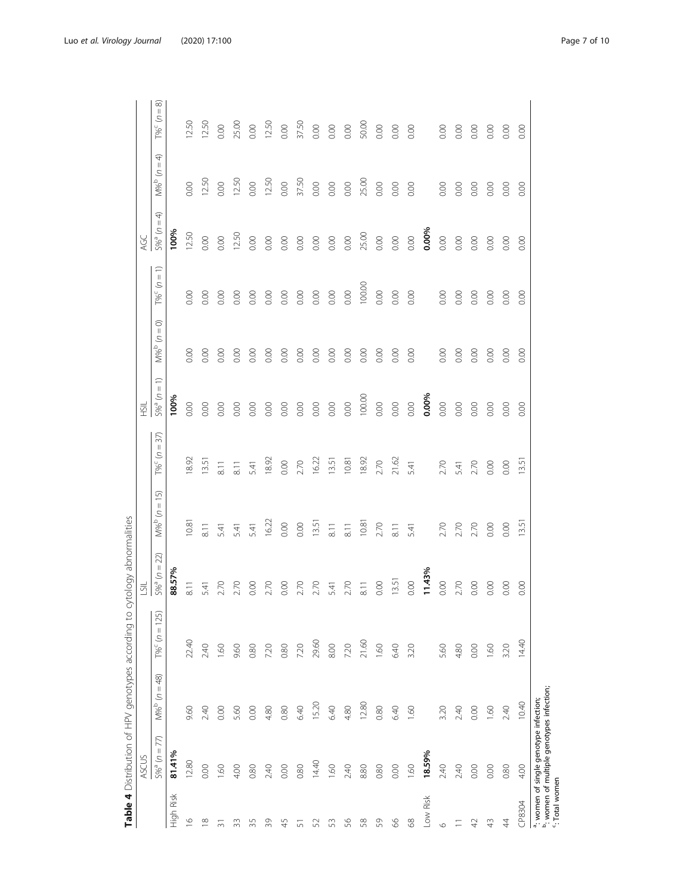<span id="page-6-0"></span>

|                    | <b>ASCUS</b>                                                                                    |                       |                                                | $\overline{5}$ ll |                       |                       | HSIL             |                                           |                                                                          | AGC              |                                          |                  |
|--------------------|-------------------------------------------------------------------------------------------------|-----------------------|------------------------------------------------|-------------------|-----------------------|-----------------------|------------------|-------------------------------------------|--------------------------------------------------------------------------|------------------|------------------------------------------|------------------|
|                    | $5%^{a} (n = 77)$                                                                               | $=48$<br>$M%^{b}$ (n: | $= 125$<br>$\mathcal{S}$<br>$T\%$ <sup>C</sup> | $5%^{a} (n = 22)$ | $= 15$<br>$M\%^b$ (n: | $(n = 37)$<br>$T\%^C$ | $5%^{a} (n = 1)$ | $=$ 0<br>$\mathcal{Z}$<br>M% <sup>b</sup> | $\widehat{\overline{\phantom{m}}}\hspace{0.1cm}$<br>$\bar{z}$<br>$T\%^C$ | $5%^{a} (n = 4)$ | ډ<br>$\mathop{\rm II}$<br>$M\%^{b}$ (n = | ∞<br>T% $c (n =$ |
| Risk<br>High       | 81.41%                                                                                          |                       |                                                | 88.57%            |                       |                       | 100%             |                                           |                                                                          | 100%             |                                          |                  |
| $\frac{\infty}{2}$ | 12.80                                                                                           | 9.60                  | 22.40                                          | $\overline{8}$ .  | 10.81                 | 18.92                 | 0.00             | 0.00                                      | 0.00                                                                     | 12.50            | 0.00                                     | 12.50            |
| $\frac{8}{10}$     | 0.00                                                                                            | 2.40                  | 2.40                                           | 5.41              | 8.11                  | 13.51                 | 0.00             | 0.00                                      | 0.00                                                                     | 0.00             | 12.50                                    | 12.50            |
| ᆕ                  | 1.60                                                                                            | 0.00                  | 1.60                                           | 2.70              | 5.41                  | 8.11                  | 0.00             | 0.00                                      | 0.00                                                                     | $0.00\,$         | 0.00                                     | $0.00\,$         |
| 33                 | 4.00                                                                                            | 5.60                  | 9.60                                           | 2.70              | 5.41                  | $\overline{8.11}$     | 0.00             | 0.00                                      | 0.00                                                                     | 12.50            | 12.50                                    | 25.00            |
| 35                 | 0.80                                                                                            | 0.00                  | 0.80                                           | 0.00              | 5.41                  | 5.41                  | 0.00             | 0.00                                      | 0.00                                                                     | 0.00             | 0.00                                     | $0.00\,$         |
| 39                 | 2.40                                                                                            | 4.80                  | 7.20                                           | 2.70              | 16.22                 | 18.92                 | 0.00             | 0.00                                      | 0.00                                                                     | 0.00             | 12.50                                    | 12.50            |
| 45                 | 0.00                                                                                            | 0.80                  | 0.80                                           | 0.00              | 0.00                  | $0.00\,$              | 0.00             | 0.00                                      | 0.00                                                                     | $0.00$           | $0.00\,$                                 | $0.00\,$         |
| 5                  | 0.80                                                                                            | 6.40                  | 7.20                                           | 2.70              | 0.00                  | 2.70                  | 0.00             | 0.00                                      | 0.00                                                                     | 0.00             | 37.50                                    | 37.50            |
| 52                 | 14.40                                                                                           | 15.20                 | 29.60                                          | 2.70              | 13.51                 | 16.22                 | 0.00             | 0.00                                      | 0.00                                                                     | 0.00             | $0.00$                                   | $_{0.00}$        |
| SS                 | 1.60                                                                                            | 6.40                  | 8.00                                           | 5.41              | 8.11                  | 13.51                 | $0.00\,$         | 0.00                                      | 0.00                                                                     | 0.00             | $_{0.00}$                                | $_{0.00}$        |
| 56                 | 2.40                                                                                            | 4.80                  | 7.20                                           | 2.70              | 8.11                  | 10.81                 | 0.00             | 0.00                                      | $0.00\,$                                                                 | $0.00\,$         | $0.00\,$                                 | 0.00             |
| 58                 | 8.80                                                                                            | 12.80                 | 21.60                                          | $\overline{8}$ .  | 10.81                 | 18.92                 | 100.00           | 0.00                                      | 100.00                                                                   | 25.00            | 25.00                                    | 50.00            |
| S9                 | 0.80                                                                                            | 0.80                  | 1.60                                           | 0.00              | 2.70                  | 2.70                  | $0.00\,$         | 0.00                                      | 0.00                                                                     | 0.00             | 0.00                                     | $0.00\,$         |
| 8                  | 0.00                                                                                            | 6.40                  | 6.40                                           | 13.51             | $\overline{8}$ .      | 21.62                 | 0.00             | 0.00                                      | $0.00\,$                                                                 | $0.00\,$         | 0.00                                     | 0.00             |
| 88                 | 1.60                                                                                            | 1.60                  | 3.20                                           | 0.00              | 5.41                  | 5.41                  | $0.00\,$         | 0.00                                      | 0.00                                                                     | 0.00             | 0.00                                     | 0.00             |
| Low Risk           | 18.59%                                                                                          |                       |                                                | 11.43%            |                       |                       | 0.00%            |                                           |                                                                          | 0.00%            |                                          |                  |
| $\circ$            | 2.40                                                                                            | 3.20                  | 5.60                                           | 0.00              | 2.70                  | 2.70                  | 0.00             | 0.00                                      | 0.00                                                                     | $0.00\,$         | 0.00                                     | 0.00             |
| Ξ                  | 2.40                                                                                            | 2.40                  | 4.80                                           | 2.70              | 2.70                  | 5.41                  | $0.00\,$         | 0.00                                      | 0.00                                                                     | $0.00\,$         | 0.00                                     | 0.00             |
| $\varphi$          | 0.00                                                                                            | 0.00                  | 0.00                                           | 0.00              | 2.70                  | 2.70                  | 0.00             | 0.00                                      | 0.00                                                                     | 0.00             | 0.00                                     | 0.00             |
| $\frac{1}{4}$      | 0.00                                                                                            | 1.60                  | 1.60                                           | 0.00              | 0.00                  | 0.00                  | 0.00             | 0.00                                      | 0.00                                                                     | 0.00             | 0.00                                     | 0.00             |
| $\ddot{4}$         | 0.80                                                                                            | 2.40                  | 3.20                                           | 0.00              | 0.00                  | 0.00                  | 0.00             | $\rm{0.00}$                               | 0.00                                                                     | 0.00             | 0.00                                     | 0.00             |
| CP8304             | 4.00                                                                                            | 10.40                 | 14.40                                          | 0.00              | $13.5^{\circ}$        | $13.5^{\circ}$        | 0.00             | 0.00                                      | 0.00                                                                     | 0.00             | 0.00                                     | 0.00             |
| ": Total women     | <sup>b</sup> : women of multiple genotypes infection;<br>a: women of single genotype infection; |                       |                                                |                   |                       |                       |                  |                                           |                                                                          |                  |                                          |                  |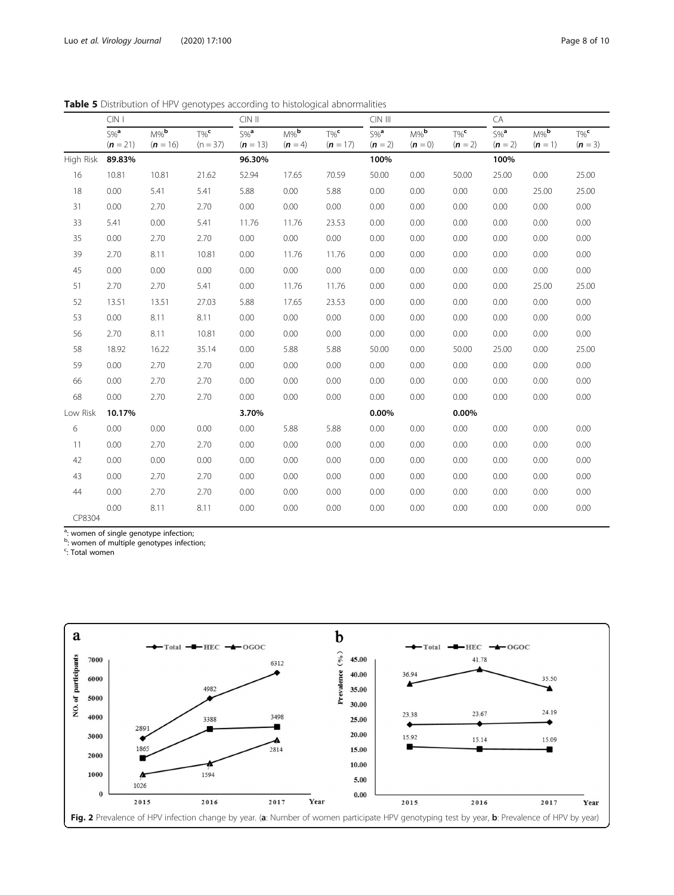|           | $CIN$                                   |                                  |                                  | $CIN$ $II$                       |                                 |                                  | CIN III                         |                               |                                 | CA                              |                                 |                                 |
|-----------|-----------------------------------------|----------------------------------|----------------------------------|----------------------------------|---------------------------------|----------------------------------|---------------------------------|-------------------------------|---------------------------------|---------------------------------|---------------------------------|---------------------------------|
|           | $\overline{\text{S}\%}^a$<br>$(n = 21)$ | $M\%$ <sub>b</sub><br>$(n = 16)$ | $T\%$ <sup>c</sup><br>$(n = 37)$ | $S\%$ <sup>a</sup><br>$(n = 13)$ | $M\%$ <sub>b</sub><br>$(n = 4)$ | $T\%$ <sup>c</sup><br>$(n = 17)$ | $5\%$ <sup>a</sup><br>$(n = 2)$ | $M\%$ <sub>b</sub><br>$(n=0)$ | $T\%$ <sup>c</sup><br>$(n = 2)$ | $5\%$ <sup>a</sup><br>$(n = 2)$ | $M\%$ <sub>b</sub><br>$(n = 1)$ | $T\%$ <sup>c</sup><br>$(n = 3)$ |
| High Risk | 89.83%                                  |                                  |                                  | 96.30%                           |                                 |                                  | 100%                            |                               |                                 | 100%                            |                                 |                                 |
| 16        | 10.81                                   | 10.81                            | 21.62                            | 52.94                            | 17.65                           | 70.59                            | 50.00                           | 0.00                          | 50.00                           | 25.00                           | 0.00                            | 25.00                           |
| 18        | 0.00                                    | 5.41                             | 5.41                             | 5.88                             | 0.00                            | 5.88                             | 0.00                            | 0.00                          | 0.00                            | 0.00                            | 25.00                           | 25.00                           |
| 31        | 0.00                                    | 2.70                             | 2.70                             | 0.00                             | 0.00                            | 0.00                             | 0.00                            | 0.00                          | 0.00                            | 0.00                            | 0.00                            | 0.00                            |
| 33        | 5.41                                    | 0.00                             | 5.41                             | 11.76                            | 11.76                           | 23.53                            | 0.00                            | 0.00                          | 0.00                            | 0.00                            | 0.00                            | 0.00                            |
| 35        | 0.00                                    | 2.70                             | 2.70                             | 0.00                             | 0.00                            | 0.00                             | 0.00                            | 0.00                          | 0.00                            | 0.00                            | 0.00                            | 0.00                            |
| 39        | 2.70                                    | 8.11                             | 10.81                            | 0.00                             | 11.76                           | 11.76                            | 0.00                            | 0.00                          | 0.00                            | 0.00                            | 0.00                            | 0.00                            |
| 45        | 0.00                                    | 0.00                             | 0.00                             | 0.00                             | 0.00                            | 0.00                             | 0.00                            | 0.00                          | 0.00                            | 0.00                            | 0.00                            | 0.00                            |
| 51        | 2.70                                    | 2.70                             | 5.41                             | 0.00                             | 11.76                           | 11.76                            | 0.00                            | 0.00                          | 0.00                            | 0.00                            | 25.00                           | 25.00                           |
| 52        | 13.51                                   | 13.51                            | 27.03                            | 5.88                             | 17.65                           | 23.53                            | 0.00                            | 0.00                          | 0.00                            | 0.00                            | 0.00                            | 0.00                            |
| 53        | 0.00                                    | 8.11                             | 8.11                             | 0.00                             | 0.00                            | 0.00                             | 0.00                            | 0.00                          | 0.00                            | 0.00                            | 0.00                            | 0.00                            |
| 56        | 2.70                                    | 8.11                             | 10.81                            | 0.00                             | 0.00                            | 0.00                             | 0.00                            | 0.00                          | 0.00                            | 0.00                            | 0.00                            | 0.00                            |
| 58        | 18.92                                   | 16.22                            | 35.14                            | 0.00                             | 5.88                            | 5.88                             | 50.00                           | 0.00                          | 50.00                           | 25.00                           | 0.00                            | 25.00                           |
| 59        | 0.00                                    | 2.70                             | 2.70                             | 0.00                             | 0.00                            | 0.00                             | 0.00                            | 0.00                          | 0.00                            | 0.00                            | 0.00                            | 0.00                            |
| 66        | 0.00                                    | 2.70                             | 2.70                             | 0.00                             | 0.00                            | 0.00                             | 0.00                            | 0.00                          | 0.00                            | 0.00                            | 0.00                            | 0.00                            |
| 68        | 0.00                                    | 2.70                             | 2.70                             | 0.00                             | 0.00                            | 0.00                             | 0.00                            | 0.00                          | 0.00                            | 0.00                            | 0.00                            | 0.00                            |
| Low Risk  | 10.17%                                  |                                  |                                  | 3.70%                            |                                 |                                  | 0.00%                           |                               | 0.00%                           |                                 |                                 |                                 |
| 6         | 0.00                                    | 0.00                             | 0.00                             | 0.00                             | 5.88                            | 5.88                             | 0.00                            | 0.00                          | 0.00                            | 0.00                            | 0.00                            | 0.00                            |
| 11        | 0.00                                    | 2.70                             | 2.70                             | 0.00                             | 0.00                            | 0.00                             | 0.00                            | 0.00                          | 0.00                            | 0.00                            | 0.00                            | 0.00                            |
| 42        | 0.00                                    | 0.00                             | 0.00                             | 0.00                             | 0.00                            | 0.00                             | 0.00                            | 0.00                          | 0.00                            | 0.00                            | 0.00                            | 0.00                            |
| 43        | 0.00                                    | 2.70                             | 2.70                             | 0.00                             | 0.00                            | 0.00                             | 0.00                            | 0.00                          | 0.00                            | 0.00                            | 0.00                            | 0.00                            |
| 44        | 0.00                                    | 2.70                             | 2.70                             | 0.00                             | 0.00                            | 0.00                             | 0.00                            | 0.00                          | 0.00                            | 0.00                            | 0.00                            | 0.00                            |
| CP8304    | 0.00                                    | 8.11                             | 8.11                             | 0.00                             | 0.00                            | 0.00                             | 0.00                            | 0.00                          | 0.00                            | 0.00                            | 0.00                            | 0.00                            |

<span id="page-7-0"></span>**Table 5** Distribution of HPV genotypes according to histological abnormalities

<sup>a</sup>: women of single genotype infection;<br><sup>b</sup>: women of multiple genotypes infection;

<sup>c</sup>: Total women

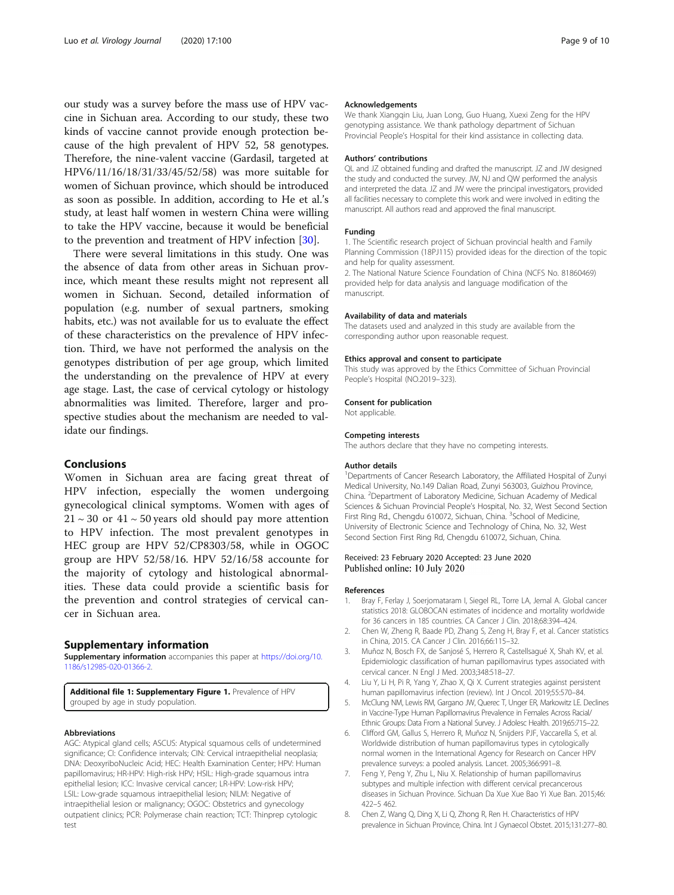<span id="page-8-0"></span>our study was a survey before the mass use of HPV vaccine in Sichuan area. According to our study, these two kinds of vaccine cannot provide enough protection because of the high prevalent of HPV 52, 58 genotypes. Therefore, the nine-valent vaccine (Gardasil, targeted at HPV6/11/16/18/31/33/45/52/58) was more suitable for women of Sichuan province, which should be introduced as soon as possible. In addition, according to He et al.'s study, at least half women in western China were willing to take the HPV vaccine, because it would be beneficial to the prevention and treatment of HPV infection [\[30\]](#page-9-0).

There were several limitations in this study. One was the absence of data from other areas in Sichuan province, which meant these results might not represent all women in Sichuan. Second, detailed information of population (e.g. number of sexual partners, smoking habits, etc.) was not available for us to evaluate the effect of these characteristics on the prevalence of HPV infection. Third, we have not performed the analysis on the genotypes distribution of per age group, which limited the understanding on the prevalence of HPV at every age stage. Last, the case of cervical cytology or histology abnormalities was limited. Therefore, larger and prospective studies about the mechanism are needed to validate our findings.

## Conclusions

Women in Sichuan area are facing great threat of HPV infection, especially the women undergoing gynecological clinical symptoms. Women with ages of  $21 \sim 30$  or  $41 \sim 50$  years old should pay more attention to HPV infection. The most prevalent genotypes in HEC group are HPV 52/CP8303/58, while in OGOC group are HPV 52/58/16. HPV 52/16/58 accounte for the majority of cytology and histological abnormalities. These data could provide a scientific basis for the prevention and control strategies of cervical cancer in Sichuan area.

## Supplementary information

Supplementary information accompanies this paper at [https://doi.org/10.](https://doi.org/10.1186/s12985-020-01366-2) [1186/s12985-020-01366-2](https://doi.org/10.1186/s12985-020-01366-2).

Additional file 1: Supplementary Figure 1. Prevalence of HPV grouped by age in study population.

#### Abbreviations

AGC: Atypical gland cells; ASCUS: Atypical squamous cells of undetermined significance; CI: Confidence intervals; CIN: Cervical intraepithelial neoplasia; DNA: DeoxyriboNucleic Acid; HEC: Health Examination Center; HPV: Human papillomavirus; HR-HPV: High-risk HPV; HSIL: High-grade squamous intra epithelial lesion; ICC: Invasive cervical cancer; LR-HPV: Low-risk HPV; LSIL: Low-grade squamous intraepithelial lesion; NILM: Negative of intraepithelial lesion or malignancy; OGOC: Obstetrics and gynecology outpatient clinics; PCR: Polymerase chain reaction; TCT: Thinprep cytologic test

#### Acknowledgements

We thank Xiangqin Liu, Juan Long, Guo Huang, Xuexi Zeng for the HPV genotyping assistance. We thank pathology department of Sichuan Provincial People's Hospital for their kind assistance in collecting data.

#### Authors' contributions

QL and JZ obtained funding and drafted the manuscript. JZ and JW designed the study and conducted the survey. JW, NJ and QW performed the analysis and interpreted the data. JZ and JW were the principal investigators, provided all facilities necessary to complete this work and were involved in editing the manuscript. All authors read and approved the final manuscript.

#### Funding

1. The Scientific research project of Sichuan provincial health and Family Planning Commission (18PJ115) provided ideas for the direction of the topic and help for quality assessment.

2. The National Nature Science Foundation of China (NCFS No. 81860469) provided help for data analysis and language modification of the manuscript.

#### Availability of data and materials

The datasets used and analyzed in this study are available from the corresponding author upon reasonable request.

#### Ethics approval and consent to participate

This study was approved by the Ethics Committee of Sichuan Provincial People's Hospital (NO.2019–323).

#### Consent for publication

Not applicable.

#### Competing interests

The authors declare that they have no competing interests.

#### Author details

<sup>1</sup>Departments of Cancer Research Laboratory, the Affiliated Hospital of Zunyi Medical University, No.149 Dalian Road, Zunyi 563003, Guizhou Province, China. <sup>2</sup> Department of Laboratory Medicine, Sichuan Academy of Medical Sciences & Sichuan Provincial People's Hospital, No. 32, West Second Section First Ring Rd., Chengdu 610072, Sichuan, China. <sup>3</sup>School of Medicine University of Electronic Science and Technology of China, No. 32, West Second Section First Ring Rd, Chengdu 610072, Sichuan, China.

#### Received: 23 February 2020 Accepted: 23 June 2020 Published online: 10 July 2020

#### References

- 1. Bray F, Ferlay J, Soerjomataram I, Siegel RL, Torre LA, Jemal A. Global cancer statistics 2018: GLOBOCAN estimates of incidence and mortality worldwide for 36 cancers in 185 countries. CA Cancer J Clin. 2018;68:394–424.
- 2. Chen W, Zheng R, Baade PD, Zhang S, Zeng H, Bray F, et al. Cancer statistics in China, 2015. CA Cancer J Clin. 2016;66:115–32.
- 3. Muñoz N, Bosch FX, de Sanjosé S, Herrero R, Castellsagué X, Shah KV, et al. Epidemiologic classification of human papillomavirus types associated with cervical cancer. N Engl J Med. 2003;348:518–27.
- 4. Liu Y, Li H, Pi R, Yang Y, Zhao X, Qi X. Current strategies against persistent human papillomavirus infection (review). Int J Oncol. 2019;55:570–84.
- 5. McClung NM, Lewis RM, Gargano JW, Querec T, Unger ER, Markowitz LE. Declines in Vaccine-Type Human Papillomavirus Prevalence in Females Across Racial/ Ethnic Groups: Data From a National Survey. J Adolesc Health. 2019;65:715-22.
- 6. Clifford GM, Gallus S, Herrero R, Muñoz N, Snijders PJF, Vaccarella S, et al. Worldwide distribution of human papillomavirus types in cytologically normal women in the International Agency for Research on Cancer HPV prevalence surveys: a pooled analysis. Lancet. 2005;366:991–8.
- 7. Feng Y, Peng Y, Zhu L, Niu X. Relationship of human papillomavirus subtypes and multiple infection with different cervical precancerous diseases in Sichuan Province. Sichuan Da Xue Xue Bao Yi Xue Ban. 2015;46: 422–5 462.
- 8. Chen Z, Wang Q, Ding X, Li Q, Zhong R, Ren H. Characteristics of HPV prevalence in Sichuan Province, China. Int J Gynaecol Obstet. 2015;131:277–80.